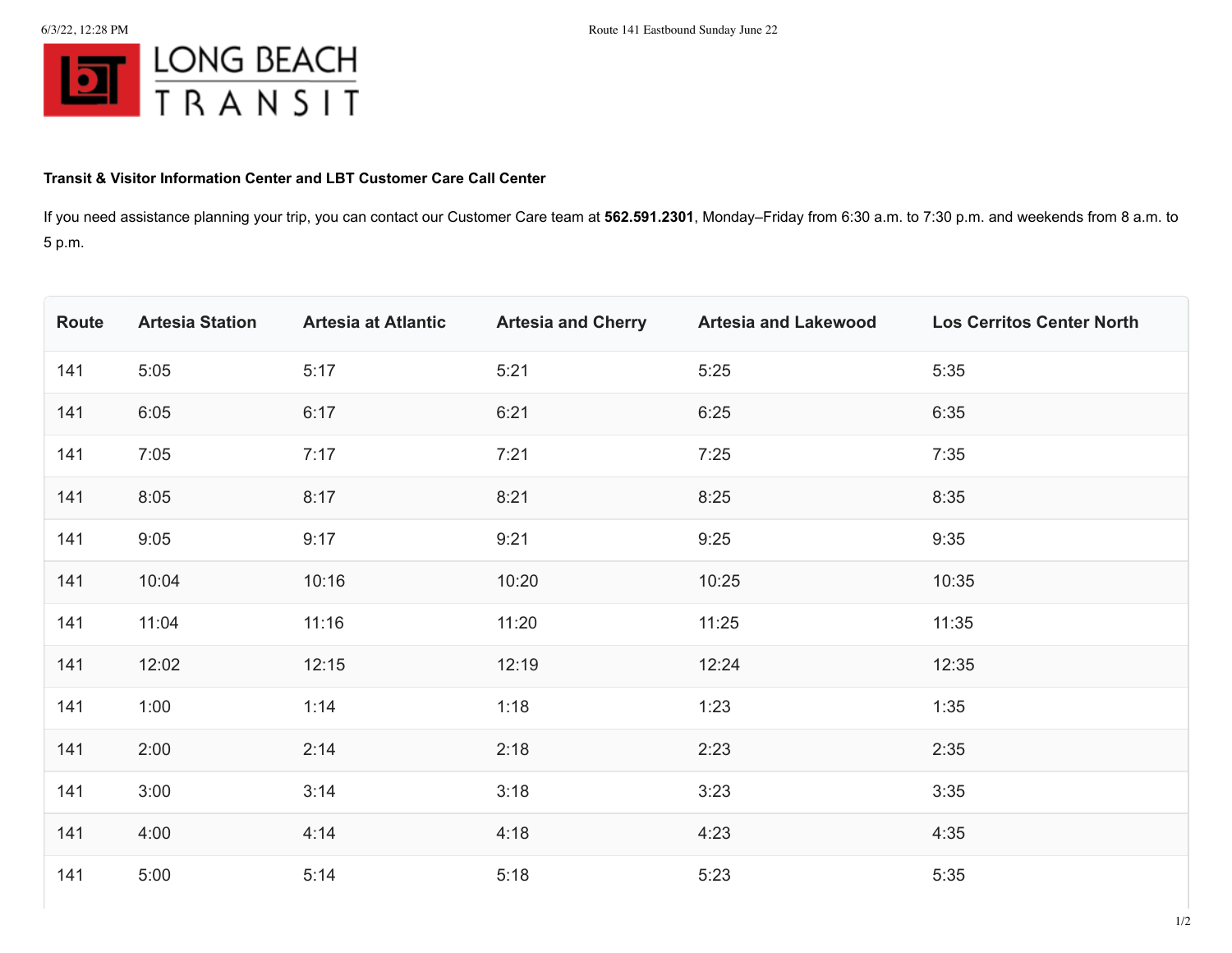

## **Transit & Visitor Information Center and LBT Customer Care Call Center**

If you need assistance planning your trip, you can contact our Customer Care team at **562.591.2301**, Monday–Friday from 6:30 a.m. to 7:30 p.m. and weekends from 8 a.m. to 5 p.m.

| Route | <b>Artesia Station</b> | <b>Artesia at Atlantic</b> | <b>Artesia and Cherry</b> | <b>Artesia and Lakewood</b> | <b>Los Cerritos Center North</b> |
|-------|------------------------|----------------------------|---------------------------|-----------------------------|----------------------------------|
| 141   | 5:05                   | 5:17                       | 5:21                      | 5:25                        | 5:35                             |
| 141   | 6:05                   | 6:17                       | 6:21                      | 6:25                        | 6:35                             |
| 141   | 7:05                   | 7:17                       | 7:21                      | 7:25                        | 7:35                             |
| 141   | 8:05                   | 8:17                       | 8:21                      | 8:25                        | 8:35                             |
| 141   | 9:05                   | 9:17                       | 9:21                      | 9:25                        | 9:35                             |
| 141   | 10:04                  | 10:16                      | 10:20                     | 10:25                       | 10:35                            |
| 141   | 11:04                  | 11:16                      | 11:20                     | 11:25                       | 11:35                            |
| 141   | 12:02                  | 12:15                      | 12:19                     | 12:24                       | 12:35                            |
| 141   | 1:00                   | 1:14                       | 1:18                      | 1:23                        | 1:35                             |
| 141   | 2:00                   | 2:14                       | 2:18                      | 2:23                        | 2:35                             |
| 141   | 3:00                   | 3:14                       | 3:18                      | 3:23                        | 3:35                             |
| 141   | 4:00                   | 4:14                       | 4:18                      | 4:23                        | 4:35                             |
| 141   | 5:00                   | 5:14                       | 5:18                      | 5:23                        | 5:35                             |